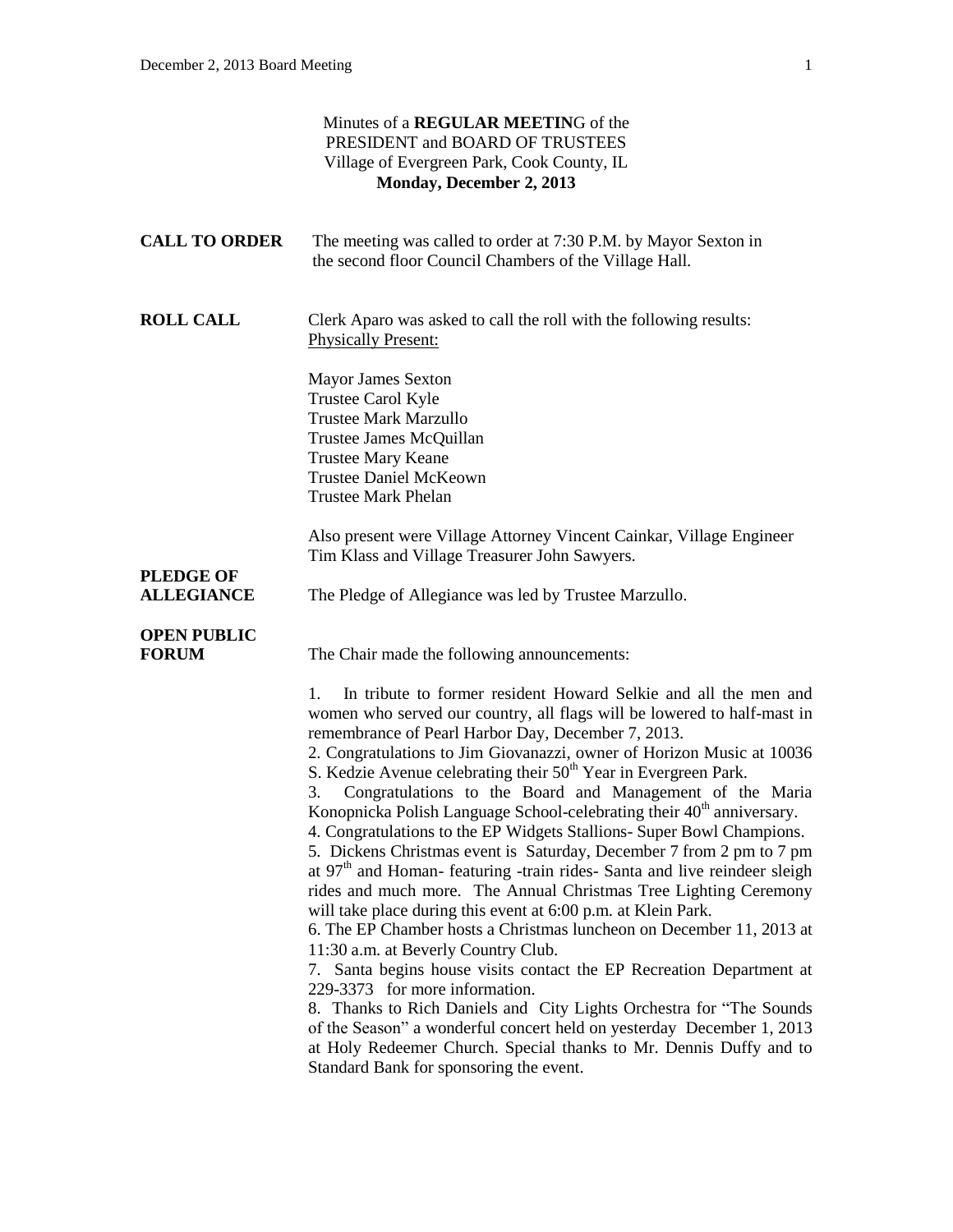|                                    | Minutes of a <b>REGULAR MEETING</b> of the<br>PRESIDENT and BOARD OF TRUSTEES<br>Village of Evergreen Park, Cook County, IL<br>Monday, December 2, 2013                                                                                                                                                                                                                                                                                                                                                                                                                                                                                                                                                                                                                                                                                                                                                                                                                                                                                                                                                                                                                                                                                                                                                                                                                              |
|------------------------------------|--------------------------------------------------------------------------------------------------------------------------------------------------------------------------------------------------------------------------------------------------------------------------------------------------------------------------------------------------------------------------------------------------------------------------------------------------------------------------------------------------------------------------------------------------------------------------------------------------------------------------------------------------------------------------------------------------------------------------------------------------------------------------------------------------------------------------------------------------------------------------------------------------------------------------------------------------------------------------------------------------------------------------------------------------------------------------------------------------------------------------------------------------------------------------------------------------------------------------------------------------------------------------------------------------------------------------------------------------------------------------------------|
| <b>CALL TO ORDER</b>               | The meeting was called to order at 7:30 P.M. by Mayor Sexton in<br>the second floor Council Chambers of the Village Hall.                                                                                                                                                                                                                                                                                                                                                                                                                                                                                                                                                                                                                                                                                                                                                                                                                                                                                                                                                                                                                                                                                                                                                                                                                                                            |
| <b>ROLL CALL</b>                   | Clerk Aparo was asked to call the roll with the following results:<br><b>Physically Present:</b>                                                                                                                                                                                                                                                                                                                                                                                                                                                                                                                                                                                                                                                                                                                                                                                                                                                                                                                                                                                                                                                                                                                                                                                                                                                                                     |
|                                    | <b>Mayor James Sexton</b><br>Trustee Carol Kyle<br><b>Trustee Mark Marzullo</b><br>Trustee James McQuillan<br><b>Trustee Mary Keane</b><br><b>Trustee Daniel McKeown</b><br><b>Trustee Mark Phelan</b>                                                                                                                                                                                                                                                                                                                                                                                                                                                                                                                                                                                                                                                                                                                                                                                                                                                                                                                                                                                                                                                                                                                                                                               |
| <b>PLEDGE OF</b>                   | Also present were Village Attorney Vincent Cainkar, Village Engineer<br>Tim Klass and Village Treasurer John Sawyers.                                                                                                                                                                                                                                                                                                                                                                                                                                                                                                                                                                                                                                                                                                                                                                                                                                                                                                                                                                                                                                                                                                                                                                                                                                                                |
| <b>ALLEGIANCE</b>                  | The Pledge of Allegiance was led by Trustee Marzullo.                                                                                                                                                                                                                                                                                                                                                                                                                                                                                                                                                                                                                                                                                                                                                                                                                                                                                                                                                                                                                                                                                                                                                                                                                                                                                                                                |
| <b>OPEN PUBLIC</b><br><b>FORUM</b> | The Chair made the following announcements:                                                                                                                                                                                                                                                                                                                                                                                                                                                                                                                                                                                                                                                                                                                                                                                                                                                                                                                                                                                                                                                                                                                                                                                                                                                                                                                                          |
|                                    | In tribute to former resident Howard Selkie and all the men and<br>1.<br>women who served our country, all flags will be lowered to half-mast in<br>remembrance of Pearl Harbor Day, December 7, 2013.<br>2. Congratulations to Jim Giovanazzi, owner of Horizon Music at 10036<br>S. Kedzie Avenue celebrating their 50 <sup>th</sup> Year in Evergreen Park.<br>Congratulations to the Board and Management of the Maria<br>3.<br>Konopnicka Polish Language School-celebrating their 40 <sup>th</sup> anniversary.<br>4. Congratulations to the EP Widgets Stallions- Super Bowl Champions.<br>5. Dickens Christmas event is Saturday, December 7 from 2 pm to 7 pm<br>at $97th$ and Homan-featuring -train rides- Santa and live reindeer sleigh<br>rides and much more. The Annual Christmas Tree Lighting Ceremony<br>will take place during this event at 6:00 p.m. at Klein Park.<br>6. The EP Chamber hosts a Christmas luncheon on December 11, 2013 at<br>11:30 a.m. at Beverly Country Club.<br>7. Santa begins house visits contact the EP Recreation Department at<br>229-3373 for more information.<br>8. Thanks to Rich Daniels and City Lights Orchestra for "The Sounds"<br>of the Season" a wonderful concert held on yesterday December 1, 2013<br>at Holy Redeemer Church. Special thanks to Mr. Dennis Duffy and to<br>Standard Bank for sponsoring the event. |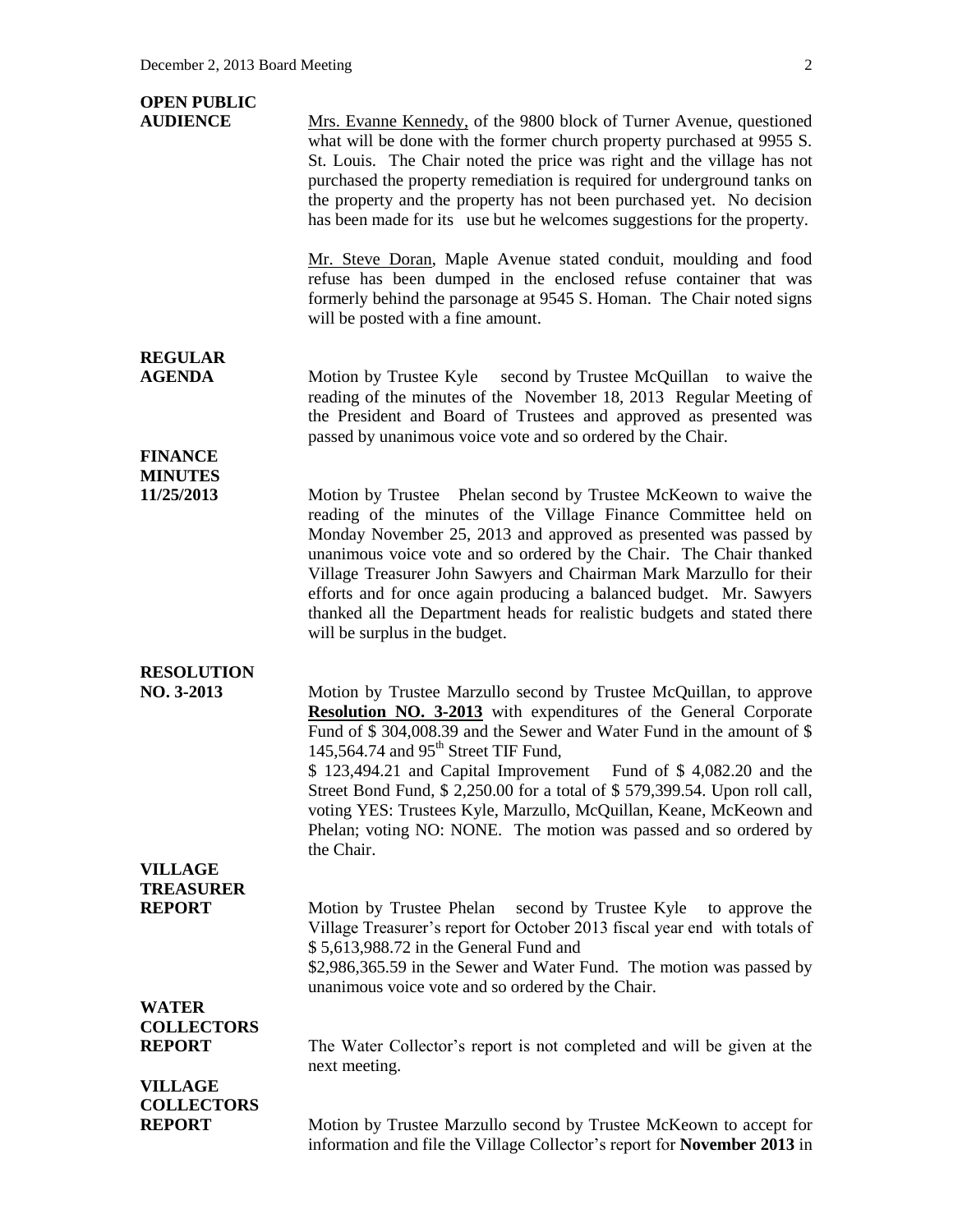| <b>OPEN PUBLIC</b><br><b>AUDIENCE</b> | Mrs. Evanne Kennedy, of the 9800 block of Turner Avenue, questioned<br>what will be done with the former church property purchased at 9955 S.<br>St. Louis. The Chair noted the price was right and the village has not<br>purchased the property remediation is required for underground tanks on<br>the property and the property has not been purchased yet. No decision<br>has been made for its use but he welcomes suggestions for the property.<br>Mr. Steve Doran, Maple Avenue stated conduit, moulding and food                                                         |
|---------------------------------------|-----------------------------------------------------------------------------------------------------------------------------------------------------------------------------------------------------------------------------------------------------------------------------------------------------------------------------------------------------------------------------------------------------------------------------------------------------------------------------------------------------------------------------------------------------------------------------------|
|                                       | refuse has been dumped in the enclosed refuse container that was<br>formerly behind the parsonage at 9545 S. Homan. The Chair noted signs<br>will be posted with a fine amount.                                                                                                                                                                                                                                                                                                                                                                                                   |
| <b>REGULAR</b><br><b>AGENDA</b>       | Motion by Trustee Kyle second by Trustee McQuillan to waive the<br>reading of the minutes of the November 18, 2013 Regular Meeting of<br>the President and Board of Trustees and approved as presented was<br>passed by unanimous voice vote and so ordered by the Chair.                                                                                                                                                                                                                                                                                                         |
| <b>FINANCE</b>                        |                                                                                                                                                                                                                                                                                                                                                                                                                                                                                                                                                                                   |
| <b>MINUTES</b><br>11/25/2013          | Motion by Trustee Phelan second by Trustee McKeown to waive the<br>reading of the minutes of the Village Finance Committee held on<br>Monday November 25, 2013 and approved as presented was passed by<br>unanimous voice vote and so ordered by the Chair. The Chair thanked<br>Village Treasurer John Sawyers and Chairman Mark Marzullo for their<br>efforts and for once again producing a balanced budget. Mr. Sawyers<br>thanked all the Department heads for realistic budgets and stated there<br>will be surplus in the budget.                                          |
| <b>RESOLUTION</b><br>NO. 3-2013       | Motion by Trustee Marzullo second by Trustee McQuillan, to approve<br>Resolution NO. 3-2013 with expenditures of the General Corporate<br>Fund of \$304,008.39 and the Sewer and Water Fund in the amount of \$<br>145,564.74 and 95 <sup>th</sup> Street TIF Fund,<br>\$123,494.21 and Capital Improvement<br>Fund of $$4,082.20$ and the<br>Street Bond Fund, \$ 2,250.00 for a total of \$ 579,399.54. Upon roll call,<br>voting YES: Trustees Kyle, Marzullo, McQuillan, Keane, McKeown and<br>Phelan; voting NO: NONE. The motion was passed and so ordered by<br>the Chair. |
| <b>VILLAGE</b>                        |                                                                                                                                                                                                                                                                                                                                                                                                                                                                                                                                                                                   |
| <b>TREASURER</b><br><b>REPORT</b>     | Motion by Trustee Phelan<br>second by Trustee Kyle to approve the<br>Village Treasurer's report for October 2013 fiscal year end with totals of<br>\$5,613,988.72 in the General Fund and<br>\$2,986,365.59 in the Sewer and Water Fund. The motion was passed by<br>unanimous voice vote and so ordered by the Chair.                                                                                                                                                                                                                                                            |
| <b>WATER</b><br><b>COLLECTORS</b>     |                                                                                                                                                                                                                                                                                                                                                                                                                                                                                                                                                                                   |
| <b>REPORT</b>                         | The Water Collector's report is not completed and will be given at the<br>next meeting.                                                                                                                                                                                                                                                                                                                                                                                                                                                                                           |
| <b>VILLAGE</b>                        |                                                                                                                                                                                                                                                                                                                                                                                                                                                                                                                                                                                   |
| <b>COLLECTORS</b><br><b>REPORT</b>    | Motion by Trustee Marzullo second by Trustee McKeown to accept for<br>information and file the Village Collector's report for November 2013 in                                                                                                                                                                                                                                                                                                                                                                                                                                    |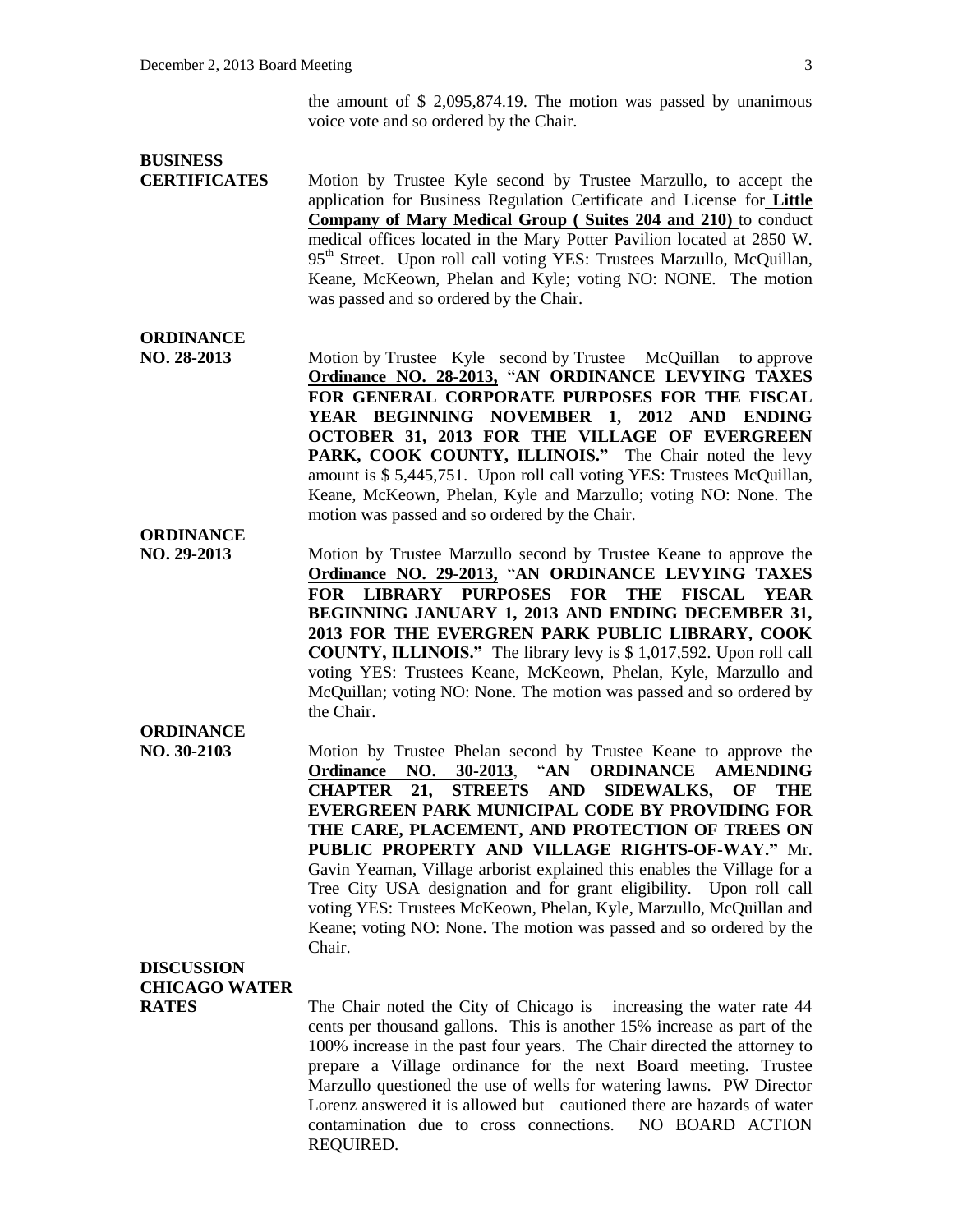the amount of \$ 2,095,874.19. The motion was passed by unanimous voice vote and so ordered by the Chair.

## **BUSINESS**

**CERTIFICATES** Motion by Trustee Kyle second by Trustee Marzullo, to accept the application for Business Regulation Certificate and License for **Little Company of Mary Medical Group ( Suites 204 and 210)** to conduct medical offices located in the Mary Potter Pavilion located at 2850 W. 95<sup>th</sup> Street. Upon roll call voting YES: Trustees Marzullo, McQuillan, Keane, McKeown, Phelan and Kyle; voting NO: NONE. The motion was passed and so ordered by the Chair.

## **ORDINANCE**

- **NO. 28-2013** Motion by Trustee Kyle second by Trustee McQuillan to approve **Ordinance NO. 28-2013,** "**AN ORDINANCE LEVYING TAXES FOR GENERAL CORPORATE PURPOSES FOR THE FISCAL YEAR BEGINNING NOVEMBER 1, 2012 AND ENDING OCTOBER 31, 2013 FOR THE VILLAGE OF EVERGREEN PARK, COOK COUNTY, ILLINOIS."** The Chair noted the levy amount is \$ 5,445,751. Upon roll call voting YES: Trustees McQuillan, Keane, McKeown, Phelan, Kyle and Marzullo; voting NO: None. The motion was passed and so ordered by the Chair. **ORDINANCE**
- **NO. 29-2013** Motion by Trustee Marzullo second by Trustee Keane to approve the **Ordinance NO. 29-2013,** "**AN ORDINANCE LEVYING TAXES FOR LIBRARY PURPOSES FOR THE FISCAL YEAR BEGINNING JANUARY 1, 2013 AND ENDING DECEMBER 31, 2013 FOR THE EVERGREN PARK PUBLIC LIBRARY, COOK COUNTY, ILLINOIS."** The library levy is \$ 1,017,592. Upon roll call voting YES: Trustees Keane, McKeown, Phelan, Kyle, Marzullo and McQuillan; voting NO: None. The motion was passed and so ordered by the Chair.

## **ORDINANCE**

**NO. 30-2103** Motion by Trustee Phelan second by Trustee Keane to approve the **Ordinance NO. 30-2013**, "**AN ORDINANCE AMENDING CHAPTER 21, STREETS AND SIDEWALKS, OF THE EVERGREEN PARK MUNICIPAL CODE BY PROVIDING FOR THE CARE, PLACEMENT, AND PROTECTION OF TREES ON PUBLIC PROPERTY AND VILLAGE RIGHTS-OF-WAY."** Mr. Gavin Yeaman, Village arborist explained this enables the Village for a Tree City USA designation and for grant eligibility. Upon roll call voting YES: Trustees McKeown, Phelan, Kyle, Marzullo, McQuillan and Keane; voting NO: None. The motion was passed and so ordered by the Chair.

## **DISCUSSION CHICAGO WATER**

**RATES** The Chair noted the City of Chicago is increasing the water rate 44 cents per thousand gallons. This is another 15% increase as part of the 100% increase in the past four years. The Chair directed the attorney to prepare a Village ordinance for the next Board meeting. Trustee Marzullo questioned the use of wells for watering lawns. PW Director Lorenz answered it is allowed but cautioned there are hazards of water contamination due to cross connections. NO BOARD ACTION REQUIRED.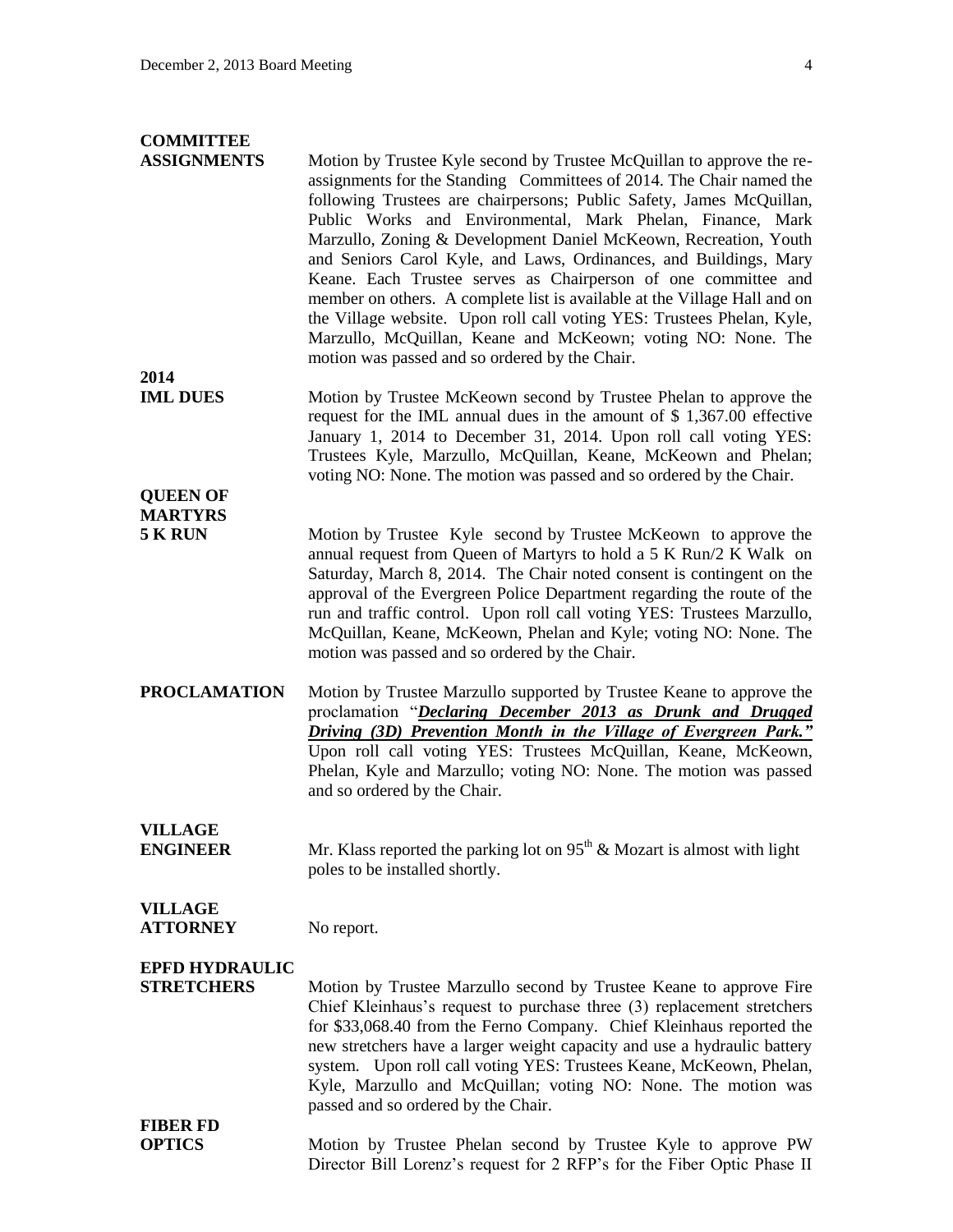| <b>COMMITTEE</b>                           |                                                                                                                                                                                                                                                                                                                                                                                                                                                                                                                                                                                                                                                                                                                                                                         |
|--------------------------------------------|-------------------------------------------------------------------------------------------------------------------------------------------------------------------------------------------------------------------------------------------------------------------------------------------------------------------------------------------------------------------------------------------------------------------------------------------------------------------------------------------------------------------------------------------------------------------------------------------------------------------------------------------------------------------------------------------------------------------------------------------------------------------------|
| <b>ASSIGNMENTS</b>                         | Motion by Trustee Kyle second by Trustee McQuillan to approve the re-<br>assignments for the Standing Committees of 2014. The Chair named the<br>following Trustees are chairpersons; Public Safety, James McQuillan,<br>Public Works and Environmental, Mark Phelan, Finance, Mark<br>Marzullo, Zoning & Development Daniel McKeown, Recreation, Youth<br>and Seniors Carol Kyle, and Laws, Ordinances, and Buildings, Mary<br>Keane. Each Trustee serves as Chairperson of one committee and<br>member on others. A complete list is available at the Village Hall and on<br>the Village website. Upon roll call voting YES: Trustees Phelan, Kyle,<br>Marzullo, McQuillan, Keane and McKeown; voting NO: None. The<br>motion was passed and so ordered by the Chair. |
| 2014                                       |                                                                                                                                                                                                                                                                                                                                                                                                                                                                                                                                                                                                                                                                                                                                                                         |
| <b>IML DUES</b>                            | Motion by Trustee McKeown second by Trustee Phelan to approve the<br>request for the IML annual dues in the amount of $$1,367.00$ effective<br>January 1, 2014 to December 31, 2014. Upon roll call voting YES:<br>Trustees Kyle, Marzullo, McQuillan, Keane, McKeown and Phelan;<br>voting NO: None. The motion was passed and so ordered by the Chair.                                                                                                                                                                                                                                                                                                                                                                                                                |
| <b>QUEEN OF</b>                            |                                                                                                                                                                                                                                                                                                                                                                                                                                                                                                                                                                                                                                                                                                                                                                         |
| <b>MARTYRS</b>                             |                                                                                                                                                                                                                                                                                                                                                                                                                                                                                                                                                                                                                                                                                                                                                                         |
| 5 K RUN                                    | Motion by Trustee Kyle second by Trustee McKeown to approve the<br>annual request from Queen of Martyrs to hold a 5 K Run/2 K Walk on<br>Saturday, March 8, 2014. The Chair noted consent is contingent on the<br>approval of the Evergreen Police Department regarding the route of the<br>run and traffic control. Upon roll call voting YES: Trustees Marzullo,<br>McQuillan, Keane, McKeown, Phelan and Kyle; voting NO: None. The<br>motion was passed and so ordered by the Chair.                                                                                                                                                                                                                                                                                |
| <b>PROCLAMATION</b>                        | Motion by Trustee Marzullo supported by Trustee Keane to approve the<br>proclamation "Declaring December 2013 as Drunk and Drugged<br>Driving (3D) Prevention Month in the Village of Evergreen Park."<br>Upon roll call voting YES: Trustees McQuillan, Keane, McKeown,<br>Phelan, Kyle and Marzullo; voting NO: None. The motion was passed<br>and so ordered by the Chair.                                                                                                                                                                                                                                                                                                                                                                                           |
| <b>VILLAGE</b><br><b>ENGINEER</b>          | Mr. Klass reported the parking lot on $95th$ & Mozart is almost with light<br>poles to be installed shortly.                                                                                                                                                                                                                                                                                                                                                                                                                                                                                                                                                                                                                                                            |
| <b>VILLAGE</b><br><b>ATTORNEY</b>          | No report.                                                                                                                                                                                                                                                                                                                                                                                                                                                                                                                                                                                                                                                                                                                                                              |
| <b>EPFD HYDRAULIC</b><br><b>STRETCHERS</b> | Motion by Trustee Marzullo second by Trustee Keane to approve Fire<br>Chief Kleinhaus's request to purchase three (3) replacement stretchers<br>for \$33,068.40 from the Ferno Company. Chief Kleinhaus reported the<br>new stretchers have a larger weight capacity and use a hydraulic battery<br>system. Upon roll call voting YES: Trustees Keane, McKeown, Phelan,<br>Kyle, Marzullo and McQuillan; voting NO: None. The motion was<br>passed and so ordered by the Chair.                                                                                                                                                                                                                                                                                         |
| <b>FIBER FD</b>                            |                                                                                                                                                                                                                                                                                                                                                                                                                                                                                                                                                                                                                                                                                                                                                                         |
| <b>OPTICS</b>                              | Motion by Trustee Phelan second by Trustee Kyle to approve PW                                                                                                                                                                                                                                                                                                                                                                                                                                                                                                                                                                                                                                                                                                           |

Director Bill Lorenz's request for 2 RFP's for the Fiber Optic Phase II